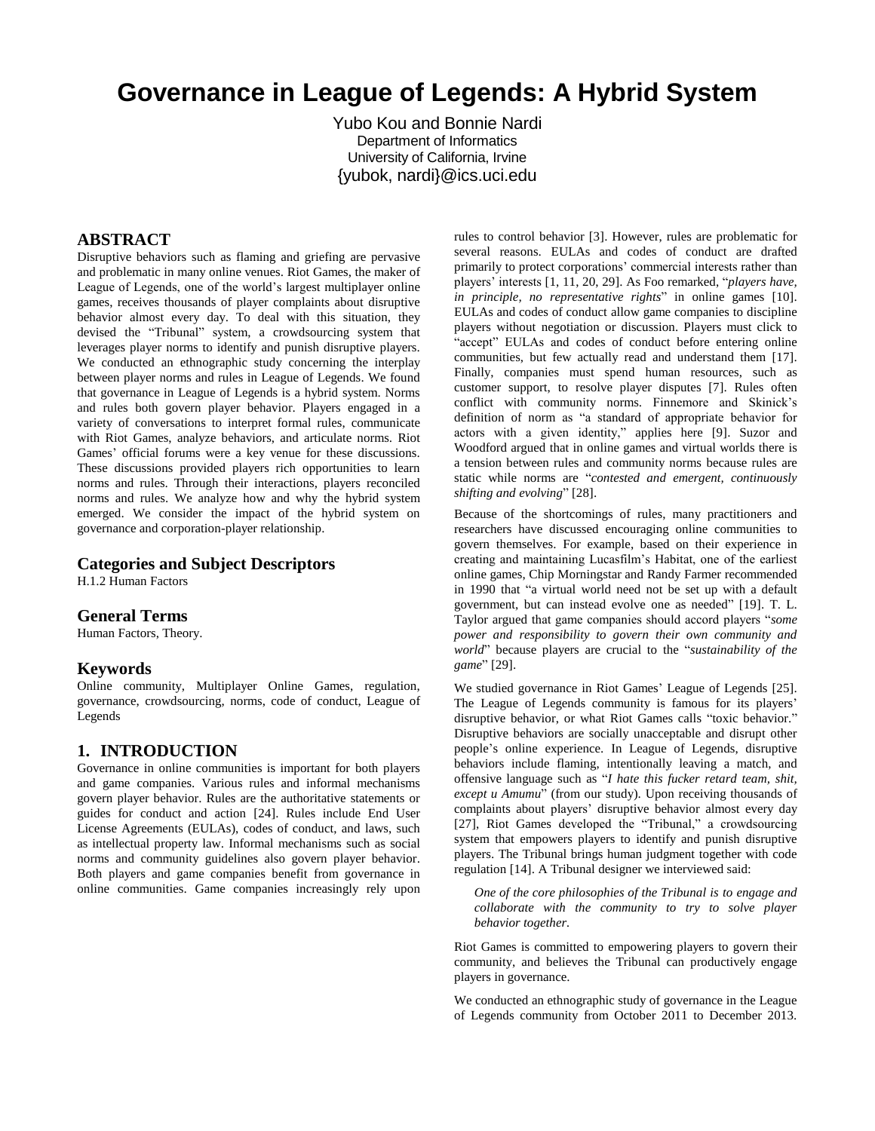# **Governance in League of Legends: A Hybrid System**

Yubo Kou and Bonnie Nardi Department of Informatics University of California, Irvine {yubok, nardi}@ics.uci.edu

## **ABSTRACT**

Disruptive behaviors such as flaming and griefing are pervasive and problematic in many online venues. Riot Games, the maker of League of Legends, one of the world's largest multiplayer online games, receives thousands of player complaints about disruptive behavior almost every day. To deal with this situation, they devised the "Tribunal" system, a crowdsourcing system that leverages player norms to identify and punish disruptive players. We conducted an ethnographic study concerning the interplay between player norms and rules in League of Legends. We found that governance in League of Legends is a hybrid system. Norms and rules both govern player behavior. Players engaged in a variety of conversations to interpret formal rules, communicate with Riot Games, analyze behaviors, and articulate norms. Riot Games' official forums were a key venue for these discussions. These discussions provided players rich opportunities to learn norms and rules. Through their interactions, players reconciled norms and rules. We analyze how and why the hybrid system emerged. We consider the impact of the hybrid system on governance and corporation-player relationship.

### **Categories and Subject Descriptors**

H.1.2 Human Factors

#### **General Terms**

Human Factors, Theory.

### **Keywords**

Online community, Multiplayer Online Games, regulation, governance, crowdsourcing, norms, code of conduct, League of Legends

#### **1. INTRODUCTION**

Governance in online communities is important for both players and game companies. Various rules and informal mechanisms govern player behavior. Rules are the authoritative statements or guides for conduct and action [24]. Rules include End User License Agreements (EULAs), codes of conduct, and laws, such as intellectual property law. Informal mechanisms such as social norms and community guidelines also govern player behavior. Both players and game companies benefit from governance in online communities. Game companies increasingly rely upon rules to control behavior [3]. However, rules are problematic for several reasons. EULAs and codes of conduct are drafted primarily to protect corporations' commercial interests rather than players' interests [1, 11, 20, 29]. As Foo remarked, "*players have, in principle, no representative rights*" in online games [10]. EULAs and codes of conduct allow game companies to discipline players without negotiation or discussion. Players must click to "accept" EULAs and codes of conduct before entering online communities, but few actually read and understand them [17]. Finally, companies must spend human resources, such as customer support, to resolve player disputes [7]. Rules often conflict with community norms. Finnemore and Skinick's definition of norm as "a standard of appropriate behavior for actors with a given identity," applies here [9]. Suzor and Woodford argued that in online games and virtual worlds there is a tension between rules and community norms because rules are static while norms are "*contested and emergent, continuously shifting and evolving*" [28].

Because of the shortcomings of rules, many practitioners and researchers have discussed encouraging online communities to govern themselves. For example, based on their experience in creating and maintaining Lucasfilm's Habitat, one of the earliest online games, Chip Morningstar and Randy Farmer recommended in 1990 that "a virtual world need not be set up with a default government, but can instead evolve one as needed" [19]. T. L. Taylor argued that game companies should accord players "*some power and responsibility to govern their own community and world*" because players are crucial to the "*sustainability of the game*" [29].

We studied governance in Riot Games' League of Legends [25]. The League of Legends community is famous for its players' disruptive behavior, or what Riot Games calls "toxic behavior." Disruptive behaviors are socially unacceptable and disrupt other people's online experience. In League of Legends, disruptive behaviors include flaming, intentionally leaving a match, and offensive language such as "*I hate this fucker retard team, shit, except u Amumu*" (from our study). Upon receiving thousands of complaints about players' disruptive behavior almost every day [27], Riot Games developed the "Tribunal," a crowdsourcing system that empowers players to identify and punish disruptive players. The Tribunal brings human judgment together with code regulation [14]. A Tribunal designer we interviewed said:

*One of the core philosophies of the Tribunal is to engage and collaborate with the community to try to solve player behavior together.*

Riot Games is committed to empowering players to govern their community, and believes the Tribunal can productively engage players in governance.

We conducted an ethnographic study of governance in the League of Legends community from October 2011 to December 2013.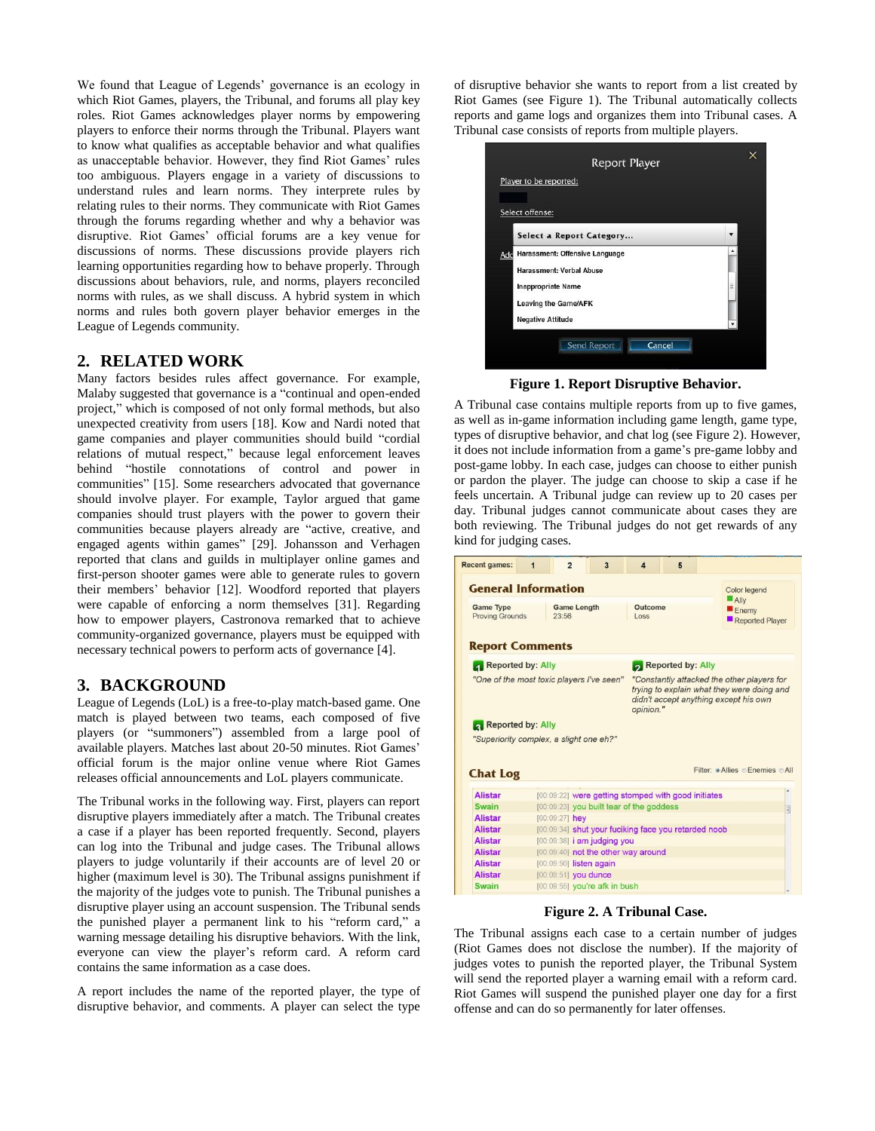We found that League of Legends' governance is an ecology in which Riot Games, players, the Tribunal, and forums all play key roles. Riot Games acknowledges player norms by empowering players to enforce their norms through the Tribunal. Players want to know what qualifies as acceptable behavior and what qualifies as unacceptable behavior. However, they find Riot Games' rules too ambiguous. Players engage in a variety of discussions to understand rules and learn norms. They interprete rules by relating rules to their norms. They communicate with Riot Games through the forums regarding whether and why a behavior was disruptive. Riot Games' official forums are a key venue for discussions of norms. These discussions provide players rich learning opportunities regarding how to behave properly. Through discussions about behaviors, rule, and norms, players reconciled norms with rules, as we shall discuss. A hybrid system in which norms and rules both govern player behavior emerges in the League of Legends community.

## **2. RELATED WORK**

Many factors besides rules affect governance. For example, Malaby suggested that governance is a "continual and open-ended project," which is composed of not only formal methods, but also unexpected creativity from users [18]. Kow and Nardi noted that game companies and player communities should build "cordial relations of mutual respect," because legal enforcement leaves behind "hostile connotations of control and power in communities" [15]. Some researchers advocated that governance should involve player. For example, Taylor argued that game companies should trust players with the power to govern their communities because players already are "active, creative, and engaged agents within games" [29]. Johansson and Verhagen reported that clans and guilds in multiplayer online games and first-person shooter games were able to generate rules to govern their members' behavior [12]. Woodford reported that players were capable of enforcing a norm themselves [31]. Regarding how to empower players, Castronova remarked that to achieve community-organized governance, players must be equipped with necessary technical powers to perform acts of governance [4].

### **3. BACKGROUND**

League of Legends (LoL) is a free-to-play match-based game. One match is played between two teams, each composed of five players (or "summoners") assembled from a large pool of available players. Matches last about 20-50 minutes. Riot Games' official forum is the major online venue where Riot Games releases official announcements and LoL players communicate.

The Tribunal works in the following way. First, players can report disruptive players immediately after a match. The Tribunal creates a case if a player has been reported frequently. Second, players can log into the Tribunal and judge cases. The Tribunal allows players to judge voluntarily if their accounts are of level 20 or higher (maximum level is 30). The Tribunal assigns punishment if the majority of the judges vote to punish. The Tribunal punishes a disruptive player using an account suspension. The Tribunal sends the punished player a permanent link to his "reform card," a warning message detailing his disruptive behaviors. With the link, everyone can view the player's reform card. A reform card contains the same information as a case does.

A report includes the name of the reported player, the type of disruptive behavior, and comments. A player can select the type

of disruptive behavior she wants to report from a list created by Riot Games (see Figure 1). The Tribunal automatically collects reports and game logs and organizes them into Tribunal cases. A Tribunal case consists of reports from multiple players.

| Player to be reported:                |   |
|---------------------------------------|---|
| Select offense:                       |   |
| Select a Report Category              |   |
| Harassment: Offensive Language<br>Add |   |
| Harassment: Verbal Abuse              |   |
| <b>Inappropriate Name</b>             | Ë |
| Leaving the Game/AFK                  |   |
| <b>Negative Attitude</b>              |   |
|                                       |   |

**Figure 1. Report Disruptive Behavior.**

A Tribunal case contains multiple reports from up to five games, as well as in-game information including game length, game type, types of disruptive behavior, and chat log (see Figure 2). However, it does not include information from a game's pre-game lobby and post-game lobby. In each case, judges can choose to either punish or pardon the player. The judge can choose to skip a case if he feels uncertain. A Tribunal judge can review up to 20 cases per day. Tribunal judges cannot communicate about cases they are both reviewing. The Tribunal judges do not get rewards of any kind for judging cases.

| <b>General Information</b>                 |  |                             |                                                                                                                                                |                                                      |                   | <b>Color legend</b>                     |
|--------------------------------------------|--|-----------------------------|------------------------------------------------------------------------------------------------------------------------------------------------|------------------------------------------------------|-------------------|-----------------------------------------|
| <b>Game Type</b><br><b>Proving Grounds</b> |  | <b>Game Length</b><br>23:56 |                                                                                                                                                | Outcome<br>Loss                                      |                   | <b>Ally</b><br>Enemy<br>Reported Player |
| <b>Report Comments</b>                     |  |                             |                                                                                                                                                |                                                      |                   |                                         |
| Reported by: Ally                          |  |                             |                                                                                                                                                |                                                      | Reported by: Ally |                                         |
| "One of the most toxic players I've seen"  |  |                             | "Constantly attacked the other players for<br>trying to explain what they were doing and<br>didn't accept anything except his own<br>opinion." |                                                      |                   |                                         |
|                                            |  |                             |                                                                                                                                                |                                                      |                   |                                         |
| <b>Reported by: Ally</b>                   |  |                             |                                                                                                                                                |                                                      |                   | Filter: • Allies <i>Enemies</i> All     |
| "Superiority complex, a slight one eh?"    |  |                             |                                                                                                                                                |                                                      |                   |                                         |
| <b>Alistar</b>                             |  |                             |                                                                                                                                                | [00:09:22] were getting stomped with good initiates  |                   |                                         |
| <b>Swain</b>                               |  |                             |                                                                                                                                                | [00:09:23] you built tear of the goddess             |                   |                                         |
| <b>Alistar</b>                             |  | [00:09:27] hey              |                                                                                                                                                |                                                      |                   |                                         |
| <b>Alistar</b>                             |  |                             |                                                                                                                                                | [00:09:34] shut your fuciking face you retarded noob |                   |                                         |
| <b>Alistar</b><br><b>Alistar</b>           |  |                             | [00:09:38] i am judging you                                                                                                                    |                                                      |                   |                                         |
| <b>Alistar</b>                             |  | [00:09:50] listen again     |                                                                                                                                                | [00:09:40] not the other way around                  |                   |                                         |
| <b>Chat Log</b><br><b>Alistar</b>          |  | [00:09:51] you dunce        |                                                                                                                                                |                                                      |                   |                                         |

#### **Figure 2. A Tribunal Case.**

The Tribunal assigns each case to a certain number of judges (Riot Games does not disclose the number). If the majority of judges votes to punish the reported player, the Tribunal System will send the reported player a warning email with a reform card. Riot Games will suspend the punished player one day for a first offense and can do so permanently for later offenses.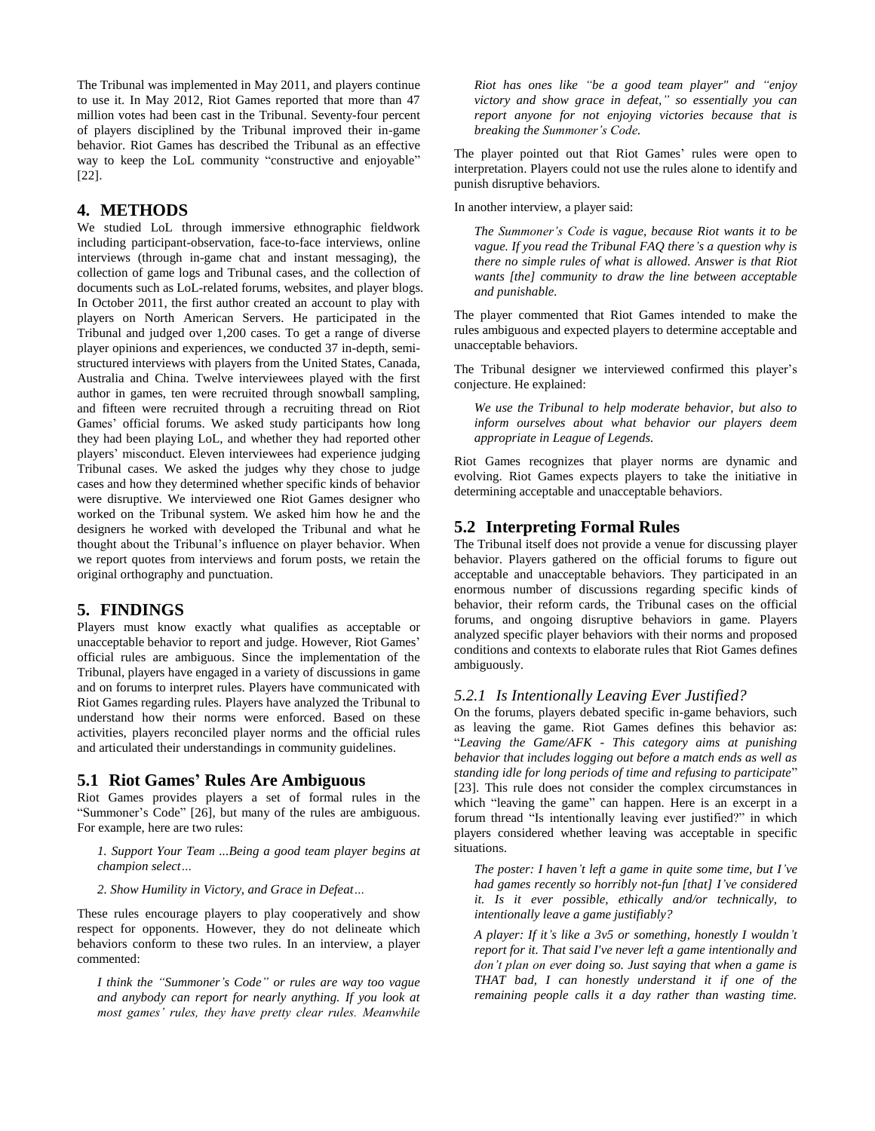The Tribunal was implemented in May 2011, and players continue to use it. In May 2012, Riot Games reported that more than 47 million votes had been cast in the Tribunal. Seventy-four percent of players disciplined by the Tribunal improved their in-game behavior. Riot Games has described the Tribunal as an effective way to keep the LoL community "constructive and enjoyable" [22].

# **4. METHODS**

We studied LoL through immersive ethnographic fieldwork including participant-observation, face-to-face interviews, online interviews (through in-game chat and instant messaging), the collection of game logs and Tribunal cases, and the collection of documents such as LoL-related forums, websites, and player blogs. In October 2011, the first author created an account to play with players on North American Servers. He participated in the Tribunal and judged over 1,200 cases. To get a range of diverse player opinions and experiences, we conducted 37 in-depth, semistructured interviews with players from the United States, Canada, Australia and China. Twelve interviewees played with the first author in games, ten were recruited through snowball sampling, and fifteen were recruited through a recruiting thread on Riot Games' official forums. We asked study participants how long they had been playing LoL, and whether they had reported other players' misconduct. Eleven interviewees had experience judging Tribunal cases. We asked the judges why they chose to judge cases and how they determined whether specific kinds of behavior were disruptive. We interviewed one Riot Games designer who worked on the Tribunal system. We asked him how he and the designers he worked with developed the Tribunal and what he thought about the Tribunal's influence on player behavior. When we report quotes from interviews and forum posts, we retain the original orthography and punctuation.

# **5. FINDINGS**

Players must know exactly what qualifies as acceptable or unacceptable behavior to report and judge. However, Riot Games' official rules are ambiguous. Since the implementation of the Tribunal, players have engaged in a variety of discussions in game and on forums to interpret rules. Players have communicated with Riot Games regarding rules. Players have analyzed the Tribunal to understand how their norms were enforced. Based on these activities, players reconciled player norms and the official rules and articulated their understandings in community guidelines.

## **5.1 Riot Games' Rules Are Ambiguous**

Riot Games provides players a set of formal rules in the "Summoner's Code" [26], but many of the rules are ambiguous. For example, here are two rules:

*1. Support Your Team ...Being a good team player begins at champion select…*

*2. Show Humility in Victory, and Grace in Defeat…*

These rules encourage players to play cooperatively and show respect for opponents. However, they do not delineate which behaviors conform to these two rules. In an interview, a player commented:

*I think the "Summoner's Code" or rules are way too vague and anybody can report for nearly anything. If you look at most games' rules, they have pretty clear rules. Meanwhile* 

*Riot has ones like "be a good team player" and "enjoy victory and show grace in defeat," so essentially you can report anyone for not enjoying victories because that is breaking the Summoner's Code.*

The player pointed out that Riot Games' rules were open to interpretation. Players could not use the rules alone to identify and punish disruptive behaviors.

In another interview, a player said:

*The Summoner's Code is vague, because Riot wants it to be vague. If you read the Tribunal FAQ there's a question why is there no simple rules of what is allowed. Answer is that Riot wants [the] community to draw the line between acceptable and punishable.*

The player commented that Riot Games intended to make the rules ambiguous and expected players to determine acceptable and unacceptable behaviors.

The Tribunal designer we interviewed confirmed this player's conjecture. He explained:

*We use the Tribunal to help moderate behavior, but also to inform ourselves about what behavior our players deem appropriate in League of Legends.*

Riot Games recognizes that player norms are dynamic and evolving. Riot Games expects players to take the initiative in determining acceptable and unacceptable behaviors.

## **5.2 Interpreting Formal Rules**

The Tribunal itself does not provide a venue for discussing player behavior. Players gathered on the official forums to figure out acceptable and unacceptable behaviors. They participated in an enormous number of discussions regarding specific kinds of behavior, their reform cards, the Tribunal cases on the official forums, and ongoing disruptive behaviors in game. Players analyzed specific player behaviors with their norms and proposed conditions and contexts to elaborate rules that Riot Games defines ambiguously.

#### *5.2.1 Is Intentionally Leaving Ever Justified?*

On the forums, players debated specific in-game behaviors, such as leaving the game. Riot Games defines this behavior as: "*Leaving the Game/AFK - This category aims at punishing behavior that includes logging out before a match ends as well as standing idle for long periods of time and refusing to participate*" [23]. This rule does not consider the complex circumstances in which "leaving the game" can happen. Here is an excerpt in a forum thread "Is intentionally leaving ever justified?" in which players considered whether leaving was acceptable in specific situations.

*The poster: I haven't left a game in quite some time, but I've had games recently so horribly not-fun [that] I've considered it. Is it ever possible, ethically and/or technically, to intentionally leave a game justifiably?*

*A player: If it's like a 3v5 or something, honestly I wouldn't report for it. That said I've never left a game intentionally and don't plan on ever doing so. Just saying that when a game is THAT bad, I can honestly understand it if one of the remaining people calls it a day rather than wasting time.*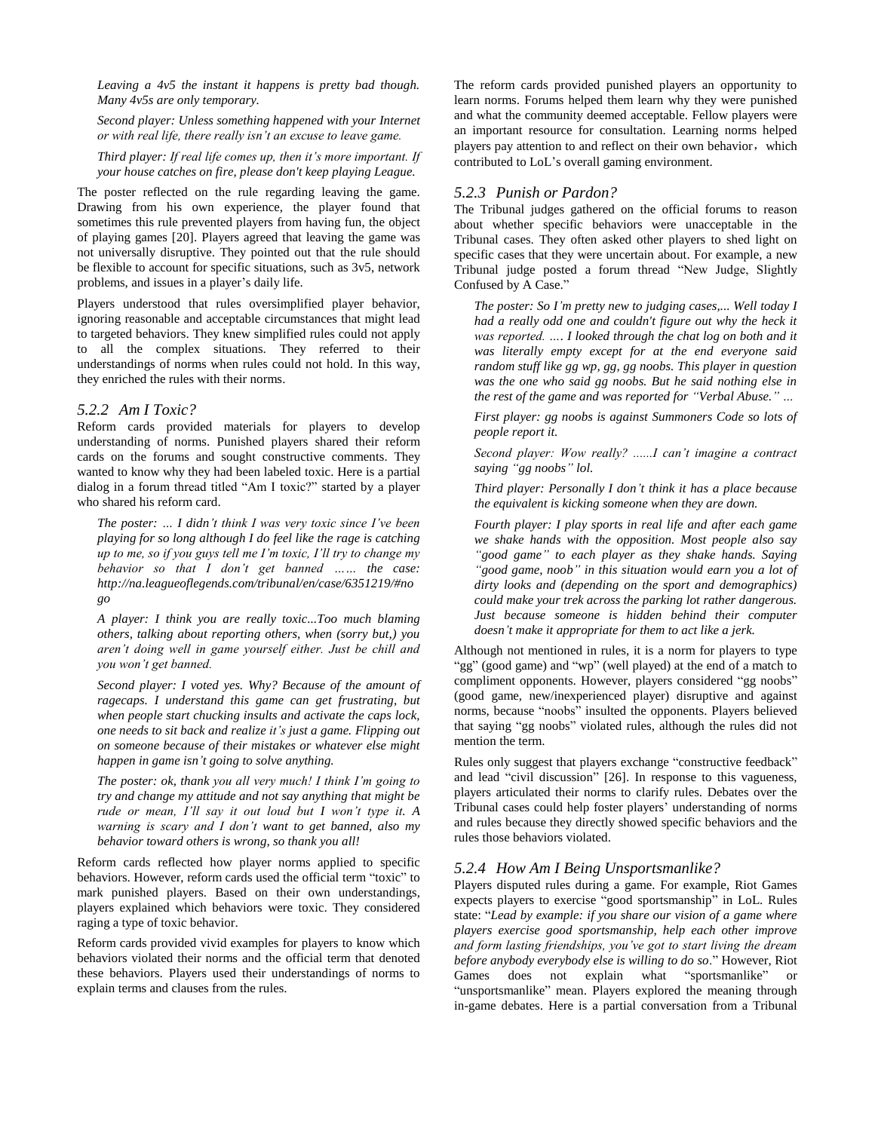*Leaving a 4v5 the instant it happens is pretty bad though. Many 4v5s are only temporary.*

*Second player: Unless something happened with your Internet or with real life, there really isn't an excuse to leave game.*

*Third player: If real life comes up, then it's more important. If your house catches on fire, please don't keep playing League.*

The poster reflected on the rule regarding leaving the game. Drawing from his own experience, the player found that sometimes this rule prevented players from having fun, the object of playing games [20]. Players agreed that leaving the game was not universally disruptive. They pointed out that the rule should be flexible to account for specific situations, such as 3v5, network problems, and issues in a player's daily life.

Players understood that rules oversimplified player behavior, ignoring reasonable and acceptable circumstances that might lead to targeted behaviors. They knew simplified rules could not apply to all the complex situations. They referred to their understandings of norms when rules could not hold. In this way, they enriched the rules with their norms.

#### *5.2.2 Am I Toxic?*

Reform cards provided materials for players to develop understanding of norms. Punished players shared their reform cards on the forums and sought constructive comments. They wanted to know why they had been labeled toxic. Here is a partial dialog in a forum thread titled "Am I toxic?" started by a player who shared his reform card.

*The poster: … I didn't think I was very toxic since I've been playing for so long although I do feel like the rage is catching up to me, so if you guys tell me I'm toxic, I'll try to change my behavior so that I don't get banned …… the case: http://na.leagueoflegends.com/tribunal/en/case/6351219/#no go*

*A player: I think you are really toxic...Too much blaming others, talking about reporting others, when (sorry but,) you aren't doing well in game yourself either. Just be chill and you won't get banned.*

*Second player: I voted yes. Why? Because of the amount of ragecaps. I understand this game can get frustrating, but when people start chucking insults and activate the caps lock, one needs to sit back and realize it's just a game. Flipping out on someone because of their mistakes or whatever else might happen in game isn't going to solve anything.*

*The poster: ok, thank you all very much! I think I'm going to try and change my attitude and not say anything that might be rude or mean, I'll say it out loud but I won't type it. A warning is scary and I don't want to get banned, also my behavior toward others is wrong, so thank you all!*

Reform cards reflected how player norms applied to specific behaviors. However, reform cards used the official term "toxic" to mark punished players. Based on their own understandings, players explained which behaviors were toxic. They considered raging a type of toxic behavior.

Reform cards provided vivid examples for players to know which behaviors violated their norms and the official term that denoted these behaviors. Players used their understandings of norms to explain terms and clauses from the rules.

The reform cards provided punished players an opportunity to learn norms. Forums helped them learn why they were punished and what the community deemed acceptable. Fellow players were an important resource for consultation. Learning norms helped players pay attention to and reflect on their own behavior, which contributed to LoL's overall gaming environment.

#### *5.2.3 Punish or Pardon?*

The Tribunal judges gathered on the official forums to reason about whether specific behaviors were unacceptable in the Tribunal cases. They often asked other players to shed light on specific cases that they were uncertain about. For example, a new Tribunal judge posted a forum thread "New Judge, Slightly Confused by A Case."

*The poster: So I'm pretty new to judging cases,... Well today I had a really odd one and couldn't figure out why the heck it was reported. …. I looked through the chat log on both and it was literally empty except for at the end everyone said random stuff like gg wp, gg, gg noobs. This player in question was the one who said gg noobs. But he said nothing else in the rest of the game and was reported for "Verbal Abuse." …*

*First player: gg noobs is against Summoners Code so lots of people report it.*

*Second player: Wow really? ......I can't imagine a contract saying "gg noobs" lol.*

*Third player: Personally I don't think it has a place because the equivalent is kicking someone when they are down.*

*Fourth player: I play sports in real life and after each game we shake hands with the opposition. Most people also say "good game" to each player as they shake hands. Saying "good game, noob" in this situation would earn you a lot of dirty looks and (depending on the sport and demographics) could make your trek across the parking lot rather dangerous. Just because someone is hidden behind their computer doesn't make it appropriate for them to act like a jerk.*

Although not mentioned in rules, it is a norm for players to type "gg" (good game) and "wp" (well played) at the end of a match to compliment opponents. However, players considered "gg noobs" (good game, new/inexperienced player) disruptive and against norms, because "noobs" insulted the opponents. Players believed that saying "gg noobs" violated rules, although the rules did not mention the term.

Rules only suggest that players exchange "constructive feedback" and lead "civil discussion" [26]. In response to this vagueness, players articulated their norms to clarify rules. Debates over the Tribunal cases could help foster players' understanding of norms and rules because they directly showed specific behaviors and the rules those behaviors violated.

#### *5.2.4 How Am I Being Unsportsmanlike?*

Players disputed rules during a game. For example, Riot Games expects players to exercise "good sportsmanship" in LoL. Rules state: "*Lead by example: if you share our vision of a game where players exercise good sportsmanship, help each other improve and form lasting friendships, you've got to start living the dream before anybody everybody else is willing to do so*." However, Riot Games does not explain what "sportsmanlike" or "unsportsmanlike" mean. Players explored the meaning through in-game debates. Here is a partial conversation from a Tribunal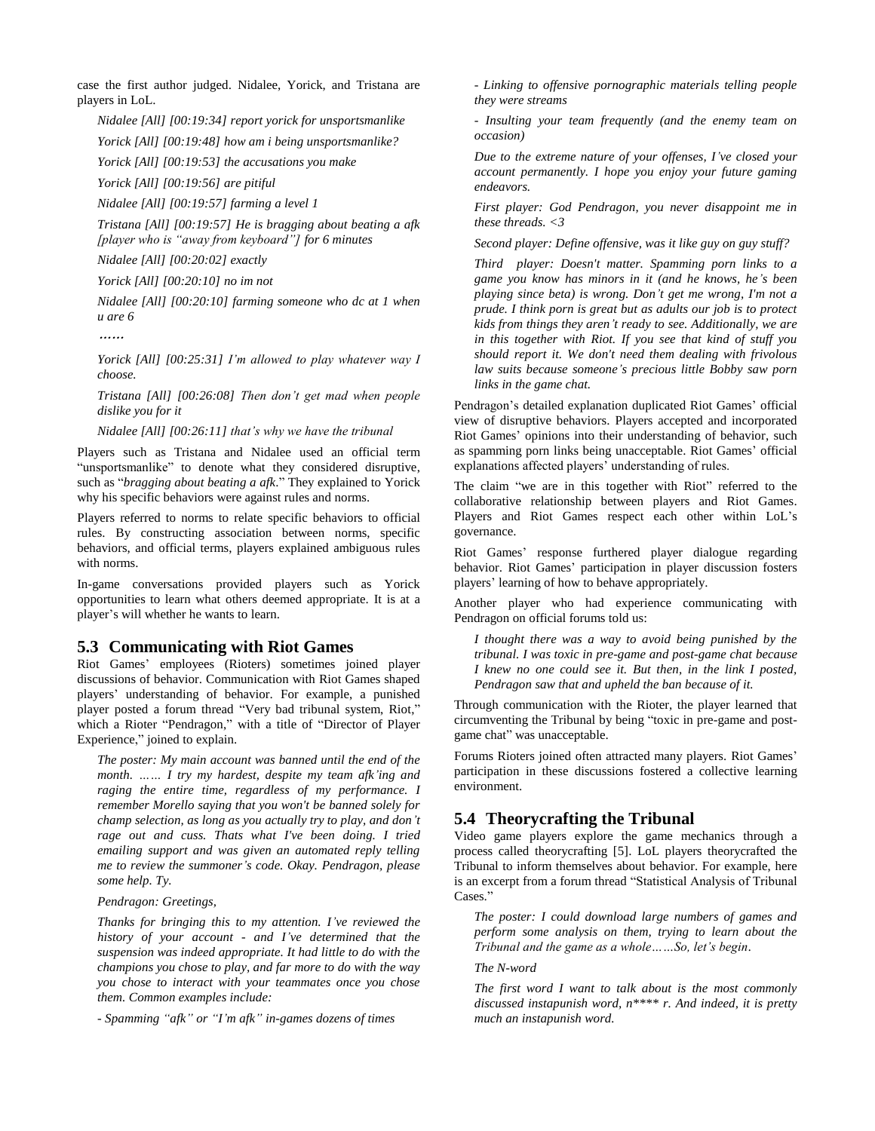case the first author judged. Nidalee, Yorick, and Tristana are players in LoL.

*Nidalee [All] [00:19:34] report yorick for unsportsmanlike*

*Yorick [All] [00:19:48] how am i being unsportsmanlike?*

*Yorick [All] [00:19:53] the accusations you make*

*Yorick [All] [00:19:56] are pitiful*

*Nidalee [All] [00:19:57] farming a level 1*

*Tristana [All] [00:19:57] He is bragging about beating a afk [player who is "away from keyboard"] for 6 minutes*

*Nidalee [All] [00:20:02] exactly*

*Yorick [All] [00:20:10] no im not*

*Nidalee [All] [00:20:10] farming someone who dc at 1 when u are 6*

……

*Yorick [All] [00:25:31] I'm allowed to play whatever way I choose.*

*Tristana [All] [00:26:08] Then don't get mad when people dislike you for it*

*Nidalee [All] [00:26:11] that's why we have the tribunal*

Players such as Tristana and Nidalee used an official term "unsportsmanlike" to denote what they considered disruptive, such as "*bragging about beating a afk*." They explained to Yorick why his specific behaviors were against rules and norms.

Players referred to norms to relate specific behaviors to official rules. By constructing association between norms, specific behaviors, and official terms, players explained ambiguous rules with norms.

In-game conversations provided players such as Yorick opportunities to learn what others deemed appropriate. It is at a player's will whether he wants to learn.

## **5.3 Communicating with Riot Games**

Riot Games' employees (Rioters) sometimes joined player discussions of behavior. Communication with Riot Games shaped players' understanding of behavior. For example, a punished player posted a forum thread "Very bad tribunal system, Riot," which a Rioter "Pendragon," with a title of "Director of Player Experience," joined to explain.

*The poster: My main account was banned until the end of the month. …… I try my hardest, despite my team afk'ing and raging the entire time, regardless of my performance. I remember Morello saying that you won't be banned solely for champ selection, as long as you actually try to play, and don't rage out and cuss. Thats what I've been doing. I tried emailing support and was given an automated reply telling me to review the summoner's code. Okay. Pendragon, please some help. Ty.*

*Pendragon: Greetings,*

*Thanks for bringing this to my attention. I've reviewed the history of your account - and I've determined that the suspension was indeed appropriate. It had little to do with the champions you chose to play, and far more to do with the way you chose to interact with your teammates once you chose them. Common examples include:*

*- Spamming "afk" or "I'm afk" in-games dozens of times*

*- Linking to offensive pornographic materials telling people they were streams*

*- Insulting your team frequently (and the enemy team on occasion)*

*Due to the extreme nature of your offenses, I've closed your account permanently. I hope you enjoy your future gaming endeavors.*

*First player: God Pendragon, you never disappoint me in these threads. <3*

*Second player: Define offensive, was it like guy on guy stuff?*

*Third player: Doesn't matter. Spamming porn links to a game you know has minors in it (and he knows, he's been playing since beta) is wrong. Don't get me wrong, I'm not a prude. I think porn is great but as adults our job is to protect kids from things they aren't ready to see. Additionally, we are in this together with Riot. If you see that kind of stuff you should report it. We don't need them dealing with frivolous law suits because someone's precious little Bobby saw porn links in the game chat.*

Pendragon's detailed explanation duplicated Riot Games' official view of disruptive behaviors. Players accepted and incorporated Riot Games' opinions into their understanding of behavior, such as spamming porn links being unacceptable. Riot Games' official explanations affected players' understanding of rules.

The claim "we are in this together with Riot" referred to the collaborative relationship between players and Riot Games. Players and Riot Games respect each other within LoL's governance.

Riot Games' response furthered player dialogue regarding behavior. Riot Games' participation in player discussion fosters players' learning of how to behave appropriately.

Another player who had experience communicating with Pendragon on official forums told us:

*I thought there was a way to avoid being punished by the tribunal. I was toxic in pre-game and post-game chat because I knew no one could see it. But then, in the link I posted, Pendragon saw that and upheld the ban because of it.*

Through communication with the Rioter, the player learned that circumventing the Tribunal by being "toxic in pre-game and postgame chat" was unacceptable.

Forums Rioters joined often attracted many players. Riot Games' participation in these discussions fostered a collective learning environment.

# **5.4 Theorycrafting the Tribunal**

Video game players explore the game mechanics through a process called theorycrafting [5]. LoL players theorycrafted the Tribunal to inform themselves about behavior. For example, here is an excerpt from a forum thread "Statistical Analysis of Tribunal Cases."

*The poster: I could download large numbers of games and perform some analysis on them, trying to learn about the Tribunal and the game as a whole……So, let's begin.*

*The N-word*

*The first word I want to talk about is the most commonly discussed instapunish word, n\*\*\*\* r. And indeed, it is pretty much an instapunish word.*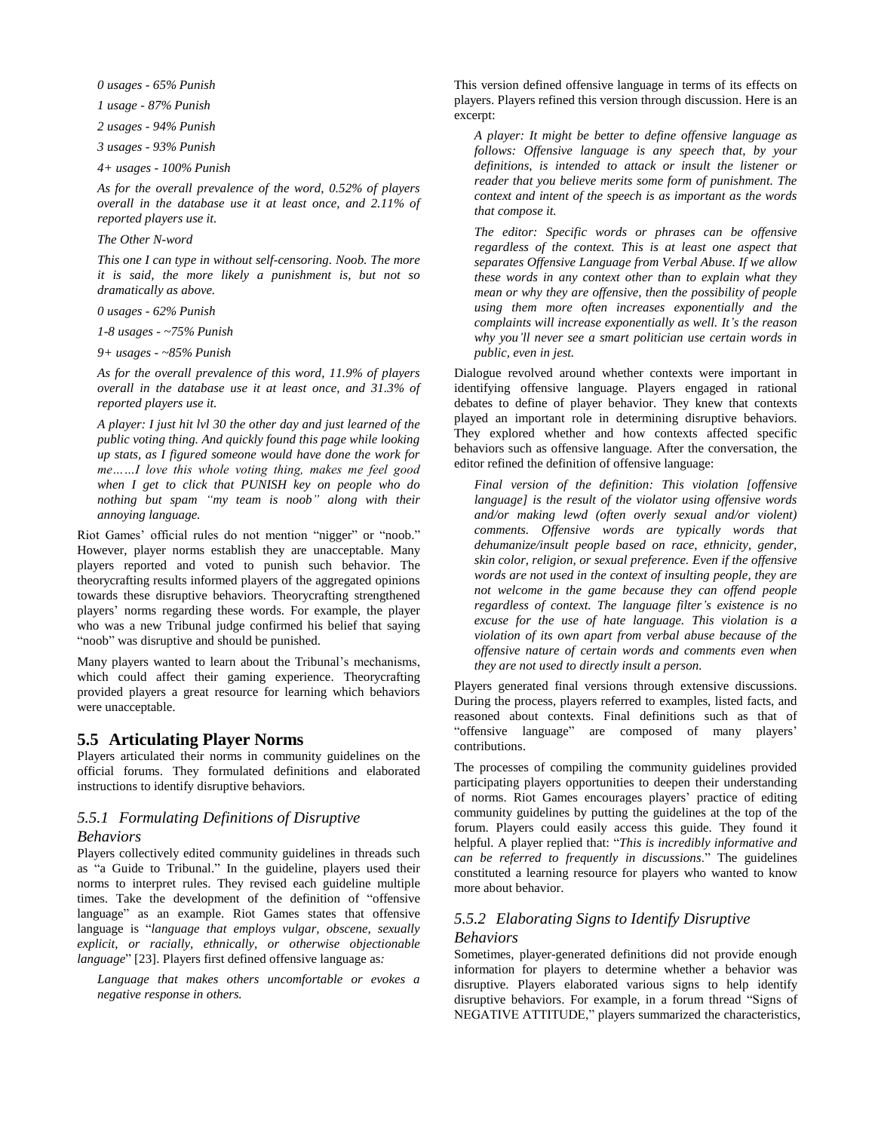*0 usages - 65% Punish*

*1 usage - 87% Punish*

*2 usages - 94% Punish*

*3 usages - 93% Punish*

*4+ usages - 100% Punish*

*As for the overall prevalence of the word, 0.52% of players overall in the database use it at least once, and 2.11% of reported players use it.*

#### *The Other N-word*

*This one I can type in without self-censoring. Noob. The more it is said, the more likely a punishment is, but not so dramatically as above.*

*0 usages - 62% Punish*

*1-8 usages - ~75% Punish*

*9+ usages - ~85% Punish*

*As for the overall prevalence of this word, 11.9% of players overall in the database use it at least once, and 31.3% of reported players use it.*

*A player: I just hit lvl 30 the other day and just learned of the public voting thing. And quickly found this page while looking up stats, as I figured someone would have done the work for me……I love this whole voting thing, makes me feel good when I get to click that PUNISH key on people who do nothing but spam "my team is noob" along with their annoying language.*

Riot Games' official rules do not mention "nigger" or "noob." However, player norms establish they are unacceptable. Many players reported and voted to punish such behavior. The theorycrafting results informed players of the aggregated opinions towards these disruptive behaviors. Theorycrafting strengthened players' norms regarding these words. For example, the player who was a new Tribunal judge confirmed his belief that saying "noob" was disruptive and should be punished.

Many players wanted to learn about the Tribunal's mechanisms, which could affect their gaming experience. Theorycrafting provided players a great resource for learning which behaviors were unacceptable.

#### **5.5 Articulating Player Norms**

Players articulated their norms in community guidelines on the official forums. They formulated definitions and elaborated instructions to identify disruptive behaviors.

# *5.5.1 Formulating Definitions of Disruptive*

#### *Behaviors*

Players collectively edited community guidelines in threads such as "a Guide to Tribunal." In the guideline, players used their norms to interpret rules. They revised each guideline multiple times. Take the development of the definition of "offensive language" as an example. Riot Games states that offensive language is "*language that employs vulgar, obscene, sexually explicit, or racially, ethnically, or otherwise objectionable language*" [23]. Players first defined offensive language as*:*

*Language that makes others uncomfortable or evokes a negative response in others.*

This version defined offensive language in terms of its effects on players. Players refined this version through discussion. Here is an excerpt:

*A player: It might be better to define offensive language as follows: Offensive language is any speech that, by your definitions, is intended to attack or insult the listener or reader that you believe merits some form of punishment. The context and intent of the speech is as important as the words that compose it.* 

*The editor: Specific words or phrases can be offensive regardless of the context. This is at least one aspect that separates Offensive Language from Verbal Abuse. If we allow these words in any context other than to explain what they mean or why they are offensive, then the possibility of people using them more often increases exponentially and the complaints will increase exponentially as well. It's the reason why you'll never see a smart politician use certain words in public, even in jest.*

Dialogue revolved around whether contexts were important in identifying offensive language. Players engaged in rational debates to define of player behavior. They knew that contexts played an important role in determining disruptive behaviors. They explored whether and how contexts affected specific behaviors such as offensive language. After the conversation, the editor refined the definition of offensive language:

*Final version of the definition: This violation [offensive language] is the result of the violator using offensive words and/or making lewd (often overly sexual and/or violent) comments. Offensive words are typically words that dehumanize/insult people based on race, ethnicity, gender, skin color, religion, or sexual preference. Even if the offensive words are not used in the context of insulting people, they are not welcome in the game because they can offend people regardless of context. The language filter's existence is no excuse for the use of hate language. This violation is a violation of its own apart from verbal abuse because of the offensive nature of certain words and comments even when they are not used to directly insult a person.*

Players generated final versions through extensive discussions. During the process, players referred to examples, listed facts, and reasoned about contexts. Final definitions such as that of "offensive language" are composed of many players' contributions.

The processes of compiling the community guidelines provided participating players opportunities to deepen their understanding of norms. Riot Games encourages players' practice of editing community guidelines by putting the guidelines at the top of the forum. Players could easily access this guide. They found it helpful. A player replied that: "*This is incredibly informative and can be referred to frequently in discussions*." The guidelines constituted a learning resource for players who wanted to know more about behavior.

# *5.5.2 Elaborating Signs to Identify Disruptive Behaviors*

Sometimes, player-generated definitions did not provide enough information for players to determine whether a behavior was disruptive. Players elaborated various signs to help identify disruptive behaviors. For example, in a forum thread "Signs of NEGATIVE ATTITUDE," players summarized the characteristics,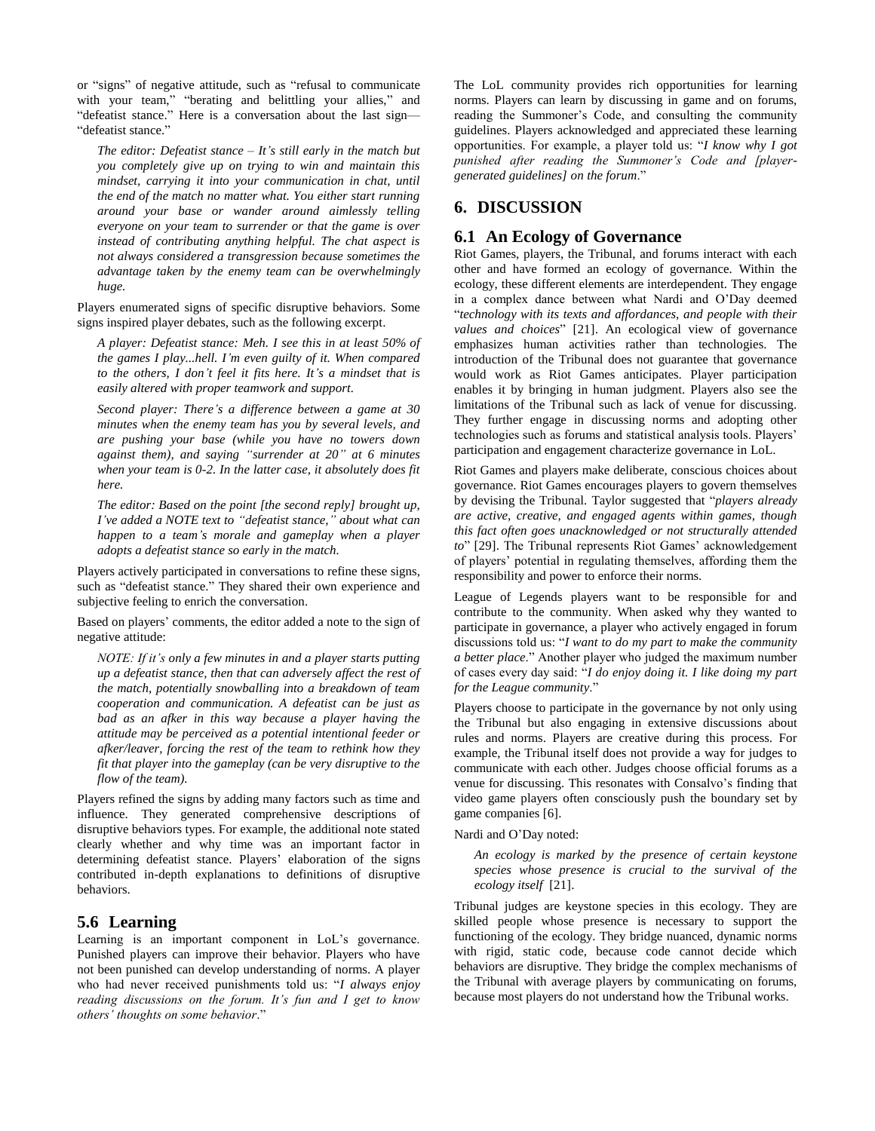or "signs" of negative attitude, such as "refusal to communicate with your team," "berating and belittling your allies," and "defeatist stance." Here is a conversation about the last sign— "defeatist stance."

*The editor: Defeatist stance – It's still early in the match but you completely give up on trying to win and maintain this mindset, carrying it into your communication in chat, until the end of the match no matter what. You either start running around your base or wander around aimlessly telling everyone on your team to surrender or that the game is over instead of contributing anything helpful. The chat aspect is not always considered a transgression because sometimes the advantage taken by the enemy team can be overwhelmingly huge.*

Players enumerated signs of specific disruptive behaviors. Some signs inspired player debates, such as the following excerpt.

*A player: Defeatist stance: Meh. I see this in at least 50% of the games I play...hell. I'm even guilty of it. When compared to the others, I don't feel it fits here. It's a mindset that is easily altered with proper teamwork and support.*

*Second player: There's a difference between a game at 30 minutes when the enemy team has you by several levels, and are pushing your base (while you have no towers down against them), and saying "surrender at 20" at 6 minutes when your team is 0-2. In the latter case, it absolutely does fit here.*

*The editor: Based on the point [the second reply] brought up, I've added a NOTE text to "defeatist stance," about what can happen to a team's morale and gameplay when a player adopts a defeatist stance so early in the match.*

Players actively participated in conversations to refine these signs, such as "defeatist stance." They shared their own experience and subjective feeling to enrich the conversation.

Based on players' comments, the editor added a note to the sign of negative attitude:

*NOTE: If it's only a few minutes in and a player starts putting up a defeatist stance, then that can adversely affect the rest of the match, potentially snowballing into a breakdown of team cooperation and communication. A defeatist can be just as bad as an afker in this way because a player having the attitude may be perceived as a potential intentional feeder or afker/leaver, forcing the rest of the team to rethink how they fit that player into the gameplay (can be very disruptive to the flow of the team).*

Players refined the signs by adding many factors such as time and influence. They generated comprehensive descriptions of disruptive behaviors types. For example, the additional note stated clearly whether and why time was an important factor in determining defeatist stance. Players' elaboration of the signs contributed in-depth explanations to definitions of disruptive behaviors.

## **5.6 Learning**

Learning is an important component in LoL's governance. Punished players can improve their behavior. Players who have not been punished can develop understanding of norms. A player who had never received punishments told us: "*I always enjoy reading discussions on the forum. It's fun and I get to know others' thoughts on some behavior*."

The LoL community provides rich opportunities for learning norms. Players can learn by discussing in game and on forums, reading the Summoner's Code, and consulting the community guidelines. Players acknowledged and appreciated these learning opportunities. For example, a player told us: "*I know why I got punished after reading the Summoner's Code and [playergenerated guidelines] on the forum*."

# **6. DISCUSSION**

## **6.1 An Ecology of Governance**

Riot Games, players, the Tribunal, and forums interact with each other and have formed an ecology of governance. Within the ecology, these different elements are interdependent. They engage in a complex dance between what Nardi and O'Day deemed "*technology with its texts and affordances, and people with their values and choices*" [21]. An ecological view of governance emphasizes human activities rather than technologies. The introduction of the Tribunal does not guarantee that governance would work as Riot Games anticipates. Player participation enables it by bringing in human judgment. Players also see the limitations of the Tribunal such as lack of venue for discussing. They further engage in discussing norms and adopting other technologies such as forums and statistical analysis tools. Players' participation and engagement characterize governance in LoL.

Riot Games and players make deliberate, conscious choices about governance. Riot Games encourages players to govern themselves by devising the Tribunal. Taylor suggested that "*players already are active, creative, and engaged agents within games, though this fact often goes unacknowledged or not structurally attended to*" [29]. The Tribunal represents Riot Games' acknowledgement of players' potential in regulating themselves, affording them the responsibility and power to enforce their norms.

League of Legends players want to be responsible for and contribute to the community. When asked why they wanted to participate in governance, a player who actively engaged in forum discussions told us: "*I want to do my part to make the community a better place*." Another player who judged the maximum number of cases every day said: "*I do enjoy doing it. I like doing my part for the League community*."

Players choose to participate in the governance by not only using the Tribunal but also engaging in extensive discussions about rules and norms. Players are creative during this process. For example, the Tribunal itself does not provide a way for judges to communicate with each other. Judges choose official forums as a venue for discussing. This resonates with Consalvo's finding that video game players often consciously push the boundary set by game companies [6].

Nardi and O'Day noted:

*An ecology is marked by the presence of certain keystone species whose presence is crucial to the survival of the ecology itself* [21].

Tribunal judges are keystone species in this ecology. They are skilled people whose presence is necessary to support the functioning of the ecology. They bridge nuanced, dynamic norms with rigid, static code, because code cannot decide which behaviors are disruptive. They bridge the complex mechanisms of the Tribunal with average players by communicating on forums, because most players do not understand how the Tribunal works.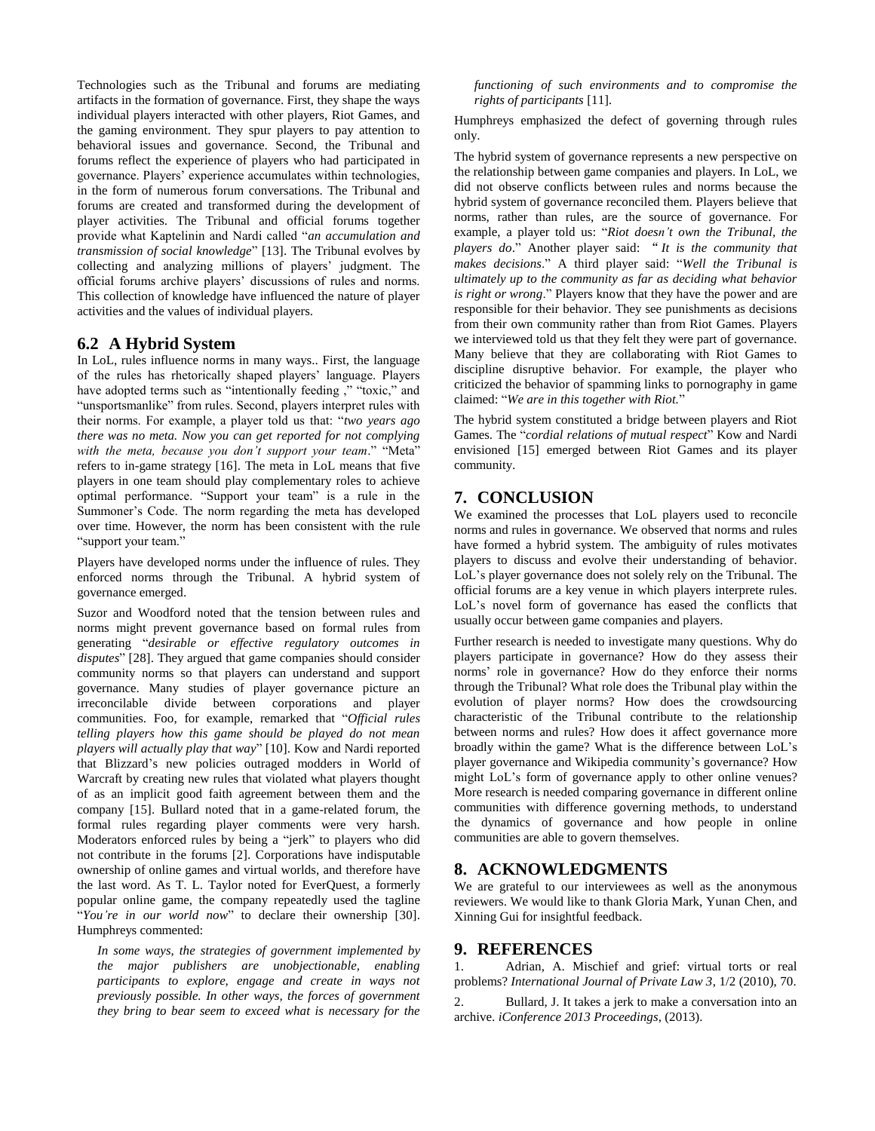Technologies such as the Tribunal and forums are mediating artifacts in the formation of governance. First, they shape the ways individual players interacted with other players, Riot Games, and the gaming environment. They spur players to pay attention to behavioral issues and governance. Second, the Tribunal and forums reflect the experience of players who had participated in governance. Players' experience accumulates within technologies, in the form of numerous forum conversations. The Tribunal and forums are created and transformed during the development of player activities. The Tribunal and official forums together provide what Kaptelinin and Nardi called "*an accumulation and transmission of social knowledge*" [13]. The Tribunal evolves by collecting and analyzing millions of players' judgment. The official forums archive players' discussions of rules and norms. This collection of knowledge have influenced the nature of player activities and the values of individual players.

# **6.2 A Hybrid System**

In LoL, rules influence norms in many ways.. First, the language of the rules has rhetorically shaped players' language. Players have adopted terms such as "intentionally feeding", "toxic," and "unsportsmanlike" from rules. Second, players interpret rules with their norms. For example, a player told us that: "*two years ago there was no meta. Now you can get reported for not complying with the meta, because you don't support your team*." "Meta" refers to in-game strategy [16]. The meta in LoL means that five players in one team should play complementary roles to achieve optimal performance. "Support your team" is a rule in the Summoner's Code. The norm regarding the meta has developed over time. However, the norm has been consistent with the rule "support your team."

Players have developed norms under the influence of rules. They enforced norms through the Tribunal. A hybrid system of governance emerged.

Suzor and Woodford noted that the tension between rules and norms might prevent governance based on formal rules from generating "*desirable or effective regulatory outcomes in disputes*" [28]. They argued that game companies should consider community norms so that players can understand and support governance. Many studies of player governance picture an irreconcilable divide between corporations and player communities. Foo, for example, remarked that "*Official rules telling players how this game should be played do not mean players will actually play that way*" [10]. Kow and Nardi reported that Blizzard's new policies outraged modders in World of Warcraft by creating new rules that violated what players thought of as an implicit good faith agreement between them and the company [15]. Bullard noted that in a game-related forum, the formal rules regarding player comments were very harsh. Moderators enforced rules by being a "jerk" to players who did not contribute in the forums [2]. Corporations have indisputable ownership of online games and virtual worlds, and therefore have the last word. As T. L. Taylor noted for EverQuest, a formerly popular online game, the company repeatedly used the tagline "*You're in our world now*" to declare their ownership [30]. Humphreys commented:

*In some ways, the strategies of government implemented by the major publishers are unobjectionable, enabling participants to explore, engage and create in ways not previously possible. In other ways, the forces of government they bring to bear seem to exceed what is necessary for the* 

*functioning of such environments and to compromise the rights of participants* [11]*.*

Humphreys emphasized the defect of governing through rules only.

The hybrid system of governance represents a new perspective on the relationship between game companies and players. In LoL, we did not observe conflicts between rules and norms because the hybrid system of governance reconciled them. Players believe that norms, rather than rules, are the source of governance. For example, a player told us: "*Riot doesn't own the Tribunal, the players do*." Another player said: "*It is the community that makes decisions*." A third player said: "*Well the Tribunal is ultimately up to the community as far as deciding what behavior is right or wrong*." Players know that they have the power and are responsible for their behavior. They see punishments as decisions from their own community rather than from Riot Games. Players we interviewed told us that they felt they were part of governance. Many believe that they are collaborating with Riot Games to discipline disruptive behavior. For example, the player who criticized the behavior of spamming links to pornography in game claimed: "*We are in this together with Riot.*"

The hybrid system constituted a bridge between players and Riot Games. The "*cordial relations of mutual respect*" Kow and Nardi envisioned [15] emerged between Riot Games and its player community.

# **7. CONCLUSION**

We examined the processes that LoL players used to reconcile norms and rules in governance. We observed that norms and rules have formed a hybrid system. The ambiguity of rules motivates players to discuss and evolve their understanding of behavior. LoL's player governance does not solely rely on the Tribunal. The official forums are a key venue in which players interprete rules. LoL's novel form of governance has eased the conflicts that usually occur between game companies and players.

Further research is needed to investigate many questions. Why do players participate in governance? How do they assess their norms' role in governance? How do they enforce their norms through the Tribunal? What role does the Tribunal play within the evolution of player norms? How does the crowdsourcing characteristic of the Tribunal contribute to the relationship between norms and rules? How does it affect governance more broadly within the game? What is the difference between LoL's player governance and Wikipedia community's governance? How might LoL's form of governance apply to other online venues? More research is needed comparing governance in different online communities with difference governing methods, to understand the dynamics of governance and how people in online communities are able to govern themselves.

# **8. ACKNOWLEDGMENTS**

We are grateful to our interviewees as well as the anonymous reviewers. We would like to thank Gloria Mark, Yunan Chen, and Xinning Gui for insightful feedback.

## **9. REFERENCES**

1. Adrian, A. Mischief and grief: virtual torts or real problems? *International Journal of Private Law 3*, 1/2 (2010), 70.

2. Bullard, J. It takes a jerk to make a conversation into an archive. *iConference 2013 Proceedings*, (2013).